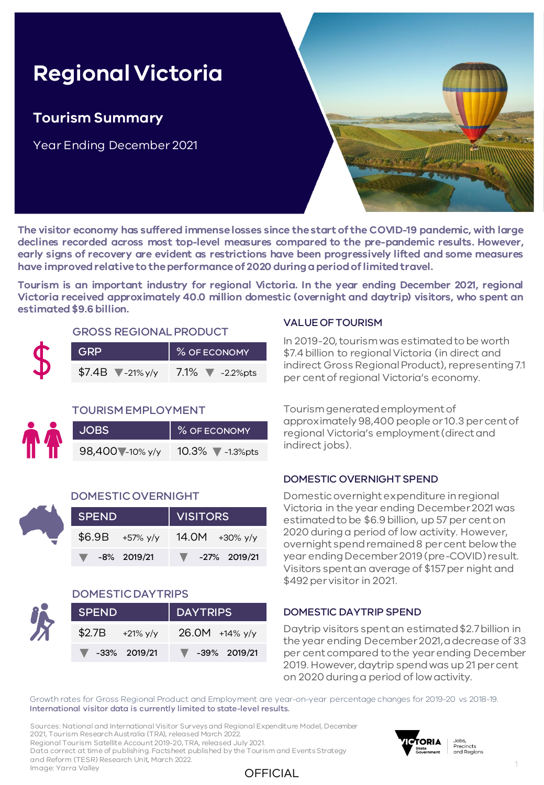# **Regional Victoria**

### **Tourism Summary**

Year Ending December 2021



**The visitor economy has suffered immenselosses since thestart of the COVID-19 pandemic, with large declines recorded across most top-level measures compared to the pre-pandemic results. However, early signs of recovery are evident as restrictions have been progressively lifted and some measures have improvedrelativeto theperformanceof 2020 duringaperiodoflimitedtravel.**

OFFICIAL

**Tourism is an important industry for regional Victoria. In the year ending December 2021, regional Victoria received approximately 40.0 million domestic (overnight and daytrip) visitors, who spent an estimated\$9.6 billion.**

#### GROSS REGIONAL PRODUCT

| <b>GRP</b>                        | % OF ECONOMY             |  |  |  |  |  |
|-----------------------------------|--------------------------|--|--|--|--|--|
| $$7.4B$ $\sqrt{\frac{21}{9}}$ y/y | 7.1% $\sqrt{ }$ -2.2%pts |  |  |  |  |  |

#### TOURISM EMPLOYMENT

| <b>JOBS</b>      | % OF ECONOMY                        |  |  |  |  |
|------------------|-------------------------------------|--|--|--|--|
| 98,400 - 10% y/y | 10.3% $\blacktriangledown$ -1.3%pts |  |  |  |  |

#### DOMESTIC OVERNIGHT

| <b>SPEND</b>                     |                  | VISITORS                          |  |  |  |  |  |
|----------------------------------|------------------|-----------------------------------|--|--|--|--|--|
|                                  | $$6.9B$ +57% y/y | 14.0M +30% y/y                    |  |  |  |  |  |
| $\blacktriangledown$ -8% 2019/21 |                  | $\blacktriangledown$ -27% 2019/21 |  |  |  |  |  |

#### DOMESTIC DAYTRIPS

| <b>SPEND</b>                      | DAYTRIPS                          |  |  |  |  |  |
|-----------------------------------|-----------------------------------|--|--|--|--|--|
| $$2.7B$ +21% y/y                  | $26.0M$ +14% y/y                  |  |  |  |  |  |
| $\blacktriangledown$ -33% 2019/21 | $\blacktriangledown$ -39% 2019/21 |  |  |  |  |  |

#### VALUE OF TOURISM

In 2019-20, tourism was estimated to be worth \$7.4 billion to regional Victoria (in direct and indirect Gross Regional Product), representing 7.1 per cent of regional Victoria's economy.

Tourism generated employment of approximately 98,400 people or 10.3 per cent of regional Victoria's employment (direct and indirect jobs).

#### DOMESTIC OVERNIGHT SPEND

Domestic overnight expenditure in regional Victoria in the year ending December 2021 was estimated to be \$6.9 billion, up 57 per cent on 2020 during a period of low activity. However, overnight spend remained 8 per cent below the year ending December 2019 (pre-COVID) result. Visitors spent an average of \$157 per night and \$492 per visitor in 2021.

#### DOMESTIC DAYTRIP SPEND

Daytrip visitors spent an estimated \$2.7 billion in the year ending December 2021, a decrease of 33 per cent compared to the year ending December 2019. However, daytrip spend was up 21 per cent on 2020 during a period of low activity.

Growth rates for Gross Regional Product and Employment are year-on-year percentage changes for 2019-20 vs 2018-19. International visitor data is currently limited to state-level results.

Sources: National and International Visitor Surveys and Regional Expenditure Model, December 2021, Tourism Research Australia (TRA), released March 2022. Regional Tourism Satellite Account 2019-20, TRA, released July 2021. Data correct at time of publishing. Factsheet published by the Tourism and Events Strategy and Reform (TESR) Research Unit, March 2022. Image: Yarra Valley

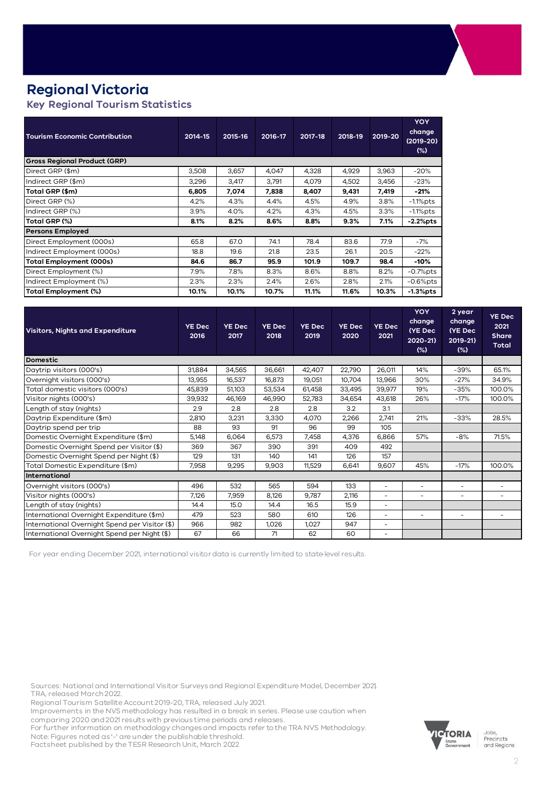### **Regional Victoria**

### **Key Regional Tourism Statistics**

| <b>Tourism Economic Contribution</b> | 2014-15 | 2015-16 | 2016-17 | 2017-18 | 2018-19 | 2019-20 | <b>YOY</b><br>change<br>$(2019-20)$<br>$(\%)$ |  |  |  |
|--------------------------------------|---------|---------|---------|---------|---------|---------|-----------------------------------------------|--|--|--|
| <b>Gross Regional Product (GRP)</b>  |         |         |         |         |         |         |                                               |  |  |  |
| Direct GRP (\$m)                     | 3,508   | 3,657   | 4,047   | 4,328   | 4,929   | 3,963   | $-20%$                                        |  |  |  |
| Indirect GRP (\$m)                   | 3,296   | 3,417   | 3.791   | 4,079   | 4,502   | 3,456   | $-23%$                                        |  |  |  |
| Total GRP (\$m)                      | 6.805   | 7,074   | 7,838   | 8,407   | 9,431   | 7,419   | $-21%$                                        |  |  |  |
| Direct GRP (%)                       | 4.2%    | 4.3%    | 4.4%    | 4.5%    | 4.9%    | 3.8%    | $-1.1\%$ pts                                  |  |  |  |
| Indirect GRP (%)                     | 3.9%    | 4.0%    | 4.2%    | 4.3%    | 4.5%    | 3.3%    | $-1.1\%$ pts                                  |  |  |  |
| Total GRP (%)                        | 8.1%    | 8.2%    | 8.6%    | 8.8%    | 9.3%    | 7.1%    | $-2.2%$ pts                                   |  |  |  |
| <b>Persons Employed</b>              |         |         |         |         |         |         |                                               |  |  |  |
| Direct Employment (000s)             | 65.8    | 67.0    | 74.1    | 78.4    | 83.6    | 77.9    | $-7%$                                         |  |  |  |
| Indirect Employment (000s)           | 18.8    | 19.6    | 21.8    | 23.5    | 26.1    | 20.5    | $-22%$                                        |  |  |  |
| <b>Total Employment (000s)</b>       | 84.6    | 86.7    | 95.9    | 101.9   | 109.7   | 98.4    | -10%                                          |  |  |  |
| Direct Employment (%)                | 7.9%    | 7.8%    | 8.3%    | 8.6%    | 8.8%    | 8.2%    | $-0.7\%$ pts                                  |  |  |  |
| Indirect Employment (%)              | 2.3%    | 2.3%    | 2.4%    | 2.6%    | 2.8%    | 2.1%    | $-0.6%$ pts                                   |  |  |  |
| Total Employment (%)                 | 10.1%   | 10.1%   | 10.7%   | 11.1%   | 11.6%   | 10.3%   | $-1.3%$ pts                                   |  |  |  |

| <b>Visitors, Nights and Expenditure</b>        | <b>YE Dec</b><br>2016 | <b>YE Dec</b><br>2017 | <b>YE Dec</b><br>2018 | <b>YE Dec</b><br>2019 | <b>YE Dec</b><br>2020 | <b>YE Dec</b><br>2021    | <b>YOY</b><br>change<br>(YE Dec<br>2020-21)<br>(%) | 2 year<br>change<br>(YE Dec<br>$2019 - 21$<br>(%) | <b>YE Dec</b><br>2021<br><b>Share</b><br><b>Total</b> |
|------------------------------------------------|-----------------------|-----------------------|-----------------------|-----------------------|-----------------------|--------------------------|----------------------------------------------------|---------------------------------------------------|-------------------------------------------------------|
| <b>Domestic</b>                                |                       |                       |                       |                       |                       |                          |                                                    |                                                   |                                                       |
| Daytrip visitors (000's)                       | 31,884                | 34,565                | 36,661                | 42,407                | 22,790                | 26,011                   | 14%                                                | $-39%$                                            | 65.1%                                                 |
| Overnight visitors (000's)                     | 13,955                | 16,537                | 16,873                | 19,051                | 10,704                | 13,966                   | 30%                                                | $-27%$                                            | 34.9%                                                 |
| Total domestic visitors (000's)                | 45,839                | 51,103                | 53,534                | 61,458                | 33,495                | 39,977                   | 19%                                                | $-35%$                                            | 100.0%                                                |
| Visitor nights (000's)                         | 39,932                | 46,169                | 46,990                | 52,783                | 34,654                | 43,618                   | 26%                                                | $-17%$                                            | 100.0%                                                |
| Length of stay (nights)                        | 2.9                   | 2.8                   | 2.8                   | 2.8                   | 3.2                   | 3.1                      |                                                    |                                                   |                                                       |
| Daytrip Expenditure (\$m)                      | 2,810                 | 3,231                 | 3,330                 | 4,070                 | 2,266                 | 2.741                    | 21%                                                | $-33%$                                            | 28.5%                                                 |
| Daytrip spend per trip                         | 88                    | 93                    | 91                    | 96                    | 99                    | 105                      |                                                    |                                                   |                                                       |
| Domestic Overnight Expenditure (\$m)           | 5,148                 | 6,064                 | 6,573                 | 7,458                 | 4,376                 | 6,866                    | 57%                                                | $-8%$                                             | 71.5%                                                 |
| Domestic Overnight Spend per Visitor (\$)      | 369                   | 367                   | 390                   | 391                   | 409                   | 492                      |                                                    |                                                   |                                                       |
| Domestic Overnight Spend per Night (\$)        | 129                   | 131                   | 140                   | 141                   | 126                   | 157                      |                                                    |                                                   |                                                       |
| Total Domestic Expenditure (\$m)               | 7,958                 | 9.295                 | 9,903                 | 11,529                | 6.641                 | 9,607                    | 45%                                                | $-17%$                                            | 100.0%                                                |
| International                                  |                       |                       |                       |                       |                       |                          |                                                    |                                                   |                                                       |
| Overnight visitors (000's)                     | 496                   | 532                   | 565                   | 594                   | 133                   | ۰                        | $\overline{\phantom{a}}$                           | $\overline{\phantom{0}}$                          |                                                       |
| Visitor nights (000's)                         | 7.126                 | 7,959                 | 8,126                 | 9,787                 | 2,116                 | $\overline{a}$           | $\overline{a}$                                     | $\overline{\phantom{0}}$                          |                                                       |
| Length of stay (nights)                        | 14.4                  | 15.0                  | 14.4                  | 16.5                  | 15.9                  | $\overline{a}$           |                                                    |                                                   |                                                       |
| International Overnight Expenditure (\$m)      | 479                   | 523                   | 580                   | 610                   | 126                   | $\overline{a}$           | $\sim$                                             | $\overline{\phantom{a}}$                          |                                                       |
| International Overnight Spend per Visitor (\$) | 966                   | 982                   | 1,026                 | 1.027                 | 947                   | $\overline{\phantom{0}}$ |                                                    |                                                   |                                                       |
| International Overnight Spend per Night (\$)   | 67                    | 66                    | 71                    | 62                    | 60                    | ۰                        |                                                    |                                                   |                                                       |

For year ending December 2021, international visitor data is currently limited to state-level results.

Sources: National and International Visitor Surveys and Regional Expenditure Model, December 2021, TRA, released March 2022.

Regional Tourism Satellite Account 2019-20, TRA, released July 2021.

Improvements in the NVS methodology has resulted in a break in series. Please use caution when comparing 2020 and 2021 results with previous time periods and releases.

For further information on methodology changes and impacts refer to the TRA NVS Methodology. Note: Figures noted as '-' are under the publishable threshold.

Factsheet published by the TESR Research Unit, March 2022